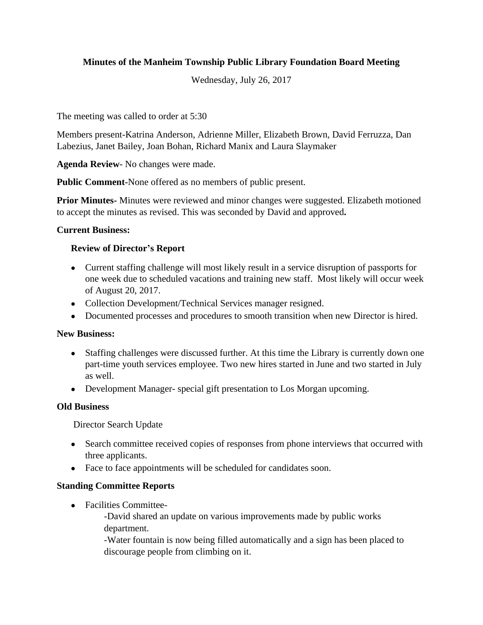# **Minutes of the Manheim Township Public Library Foundation Board Meeting**

Wednesday, July 26, 2017

The meeting was called to order at 5:30

Members present-Katrina Anderson, Adrienne Miller, Elizabeth Brown, David Ferruzza, Dan Labezius, Janet Bailey, Joan Bohan, Richard Manix and Laura Slaymaker

**Agenda Review**- No changes were made.

**Public Comment-**None offered as no members of public present.

**Prior Minutes-** Minutes were reviewed and minor changes were suggested. Elizabeth motioned to accept the minutes as revised. This was seconded by David and approved**.**

### **Current Business:**

### **Review of Director's Report**

- Current staffing challenge will most likely result in a service disruption of passports for one week due to scheduled vacations and training new staff. Most likely will occur week of August 20, 2017.
- Collection Development/Technical Services manager resigned.
- Documented processes and procedures to smooth transition when new Director is hired.

#### **New Business:**

- Staffing challenges were discussed further. At this time the Library is currently down one part-time youth services employee. Two new hires started in June and two started in July as well.
- Development Manager- special gift presentation to Los Morgan upcoming.

#### **Old Business**

Director Search Update

- Search committee received copies of responses from phone interviews that occurred with three applicants.
- Face to face appointments will be scheduled for candidates soon.

## **Standing Committee Reports**

- Facilities Committee-
	- -David shared an update on various improvements made by public works department.

-Water fountain is now being filled automatically and a sign has been placed to discourage people from climbing on it.